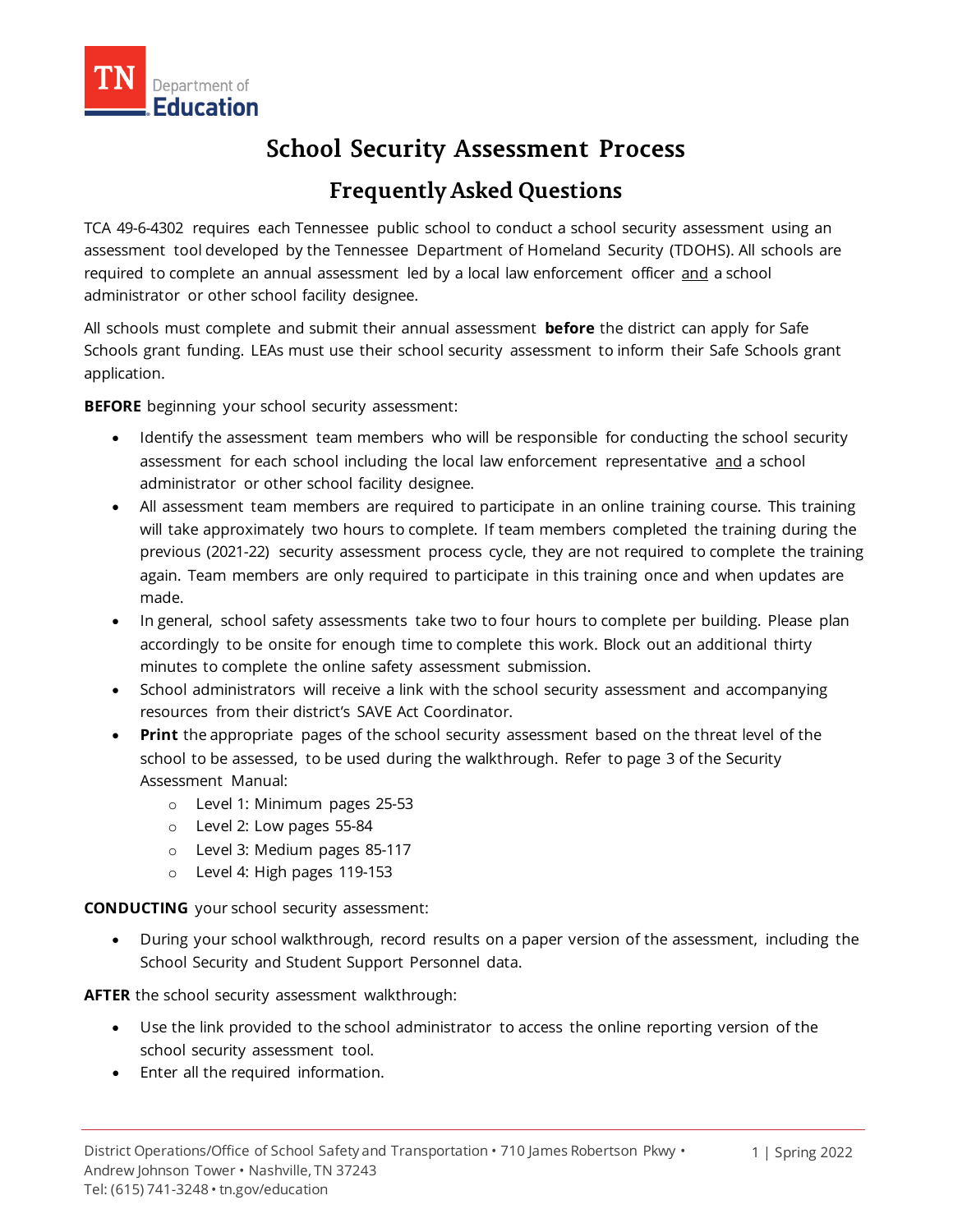# **School Security Assessment Process**

# **Frequently Asked Questions**

TCA 49-6-4302 requires each Tennessee public school to conduct a school security assessment using an assessment tool developed by the Tennessee Department of Homeland Security (TDOHS). All schools are required to complete an annual assessment led by a local law enforcement officer and a school administrator or other school facility designee.

All schools must complete and submit their annual assessment **before** the district can apply for Safe Schools grant funding. LEAs must use their school security assessment to inform their Safe Schools grant application.

**BEFORE** beginning your school security assessment:

- Identify the assessment team members who will be responsible for conducting the school security assessment for each school including the local law enforcement representative and a school administrator or other school facility designee.
- All assessment team members are required to participate in an online training course. This training will take approximately two hours to complete. If team members completed the training during the previous (2021-22) security assessment process cycle, they are not required to complete the training again. Team members are only required to participate in this training once and when updates are made.
- In general, school safety assessments take two to four hours to complete per building. Please plan accordingly to be onsite for enough time to complete this work. Block out an additional thirty minutes to complete the online safety assessment submission.
- School administrators will receive a link with the school security assessment and accompanying resources from their district's SAVE Act Coordinator.
- **Print** the appropriate pages of the school security assessment based on the threat level of the school to be assessed, to be used during the walkthrough. Refer to page 3 of the Security Assessment Manual:
	- o Level 1: Minimum pages 25-53
	- o Level 2: Low pages 55-84
	- o Level 3: Medium pages 85-117
	- o Level 4: High pages 119-153

**CONDUCTING** your school security assessment:

• During your school walkthrough, record results on a paper version of the assessment, including the School Security and Student Support Personnel data.

**AFTER** the school security assessment walkthrough:

- Use the link provided to the school administrator to access the online reporting version of the school security assessment tool.
- Enter all the required information.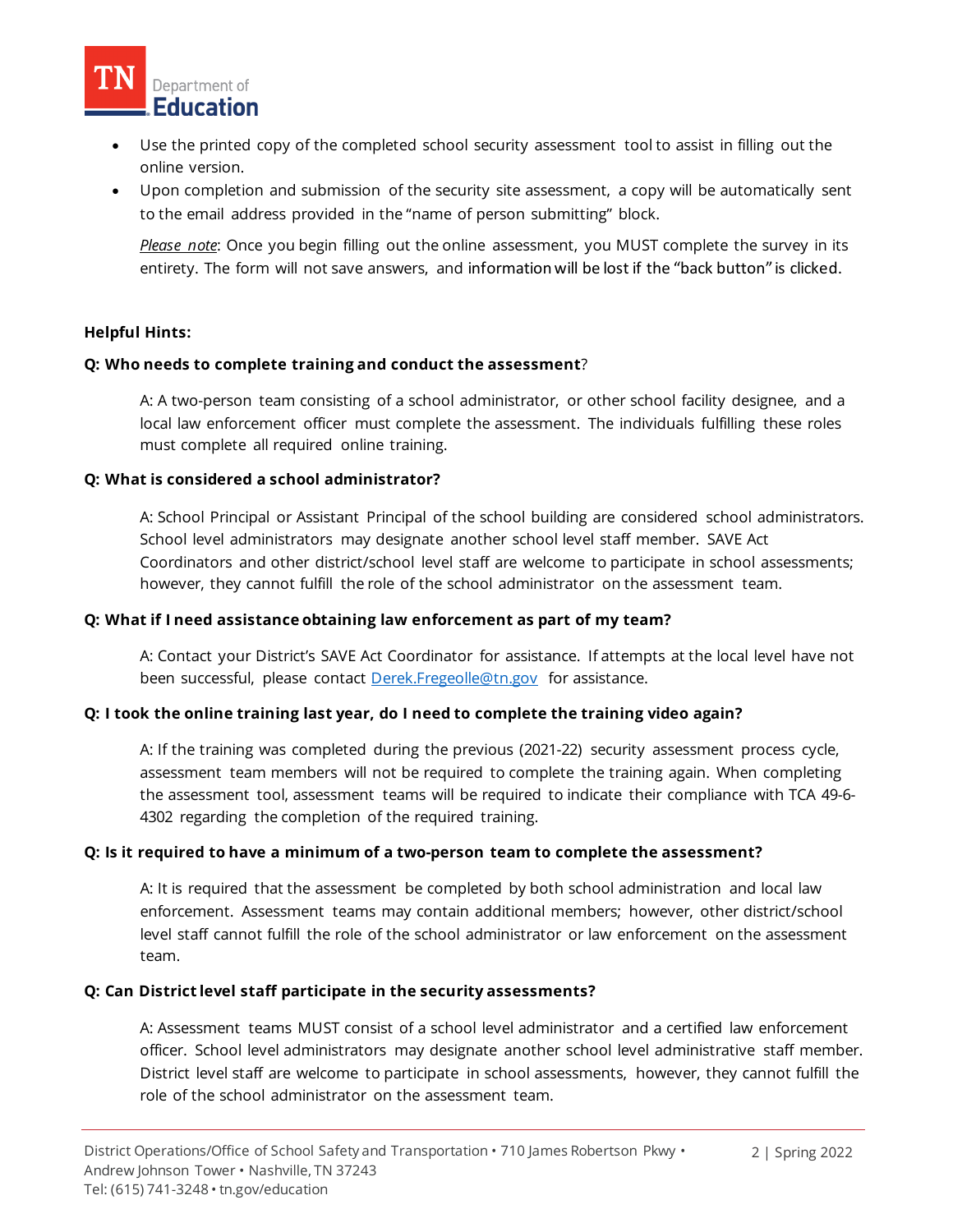

- Use the printed copy of the completed school security assessment tool to assist in filling out the online version.
- Upon completion and submission of the security site assessment, a copy will be automatically sent to the email address provided in the "name of person submitting" block.

*Please note*: Once you begin filling out the online assessment, you MUST complete the survey in its entirety. The form will not save answers, and information will be lost if the "back button" is clicked.

#### **Helpful Hints:**

#### **Q: Who needs to complete training and conduct the assessment**?

A: A two-person team consisting of a school administrator, or other school facility designee, and a local law enforcement officer must complete the assessment. The individuals fulfilling these roles must complete all required online training.

#### **Q: What is considered a school administrator?**

A: School Principal or Assistant Principal of the school building are considered school administrators. School level administrators may designate another school level staff member. SAVE Act Coordinators and other district/school level staff are welcome to participate in school assessments; however, they cannot fulfill the role of the school administrator on the assessment team.

#### **Q: What if I need assistance obtaining law enforcement as part of my team?**

A: Contact your District's SAVE Act Coordinator for assistance. If attempts at the local level have not been successful, please contact [Derek.Fregeolle@tn.gov](mailto:Derek.Fregeolle@tn.gov) for assistance.

#### **Q: I took the online training last year, do I need to complete the training video again?**

A: If the training was completed during the previous (2021-22) security assessment process cycle, assessment team members will not be required to complete the training again. When completing the assessment tool, assessment teams will be required to indicate their compliance with TCA 49-6- 4302 regarding the completion of the required training.

#### **Q: Is it required to have a minimum of a two-person team to complete the assessment?**

A: It is required that the assessment be completed by both school administration and local law enforcement. Assessment teams may contain additional members; however, other district/school level staff cannot fulfill the role of the school administrator or law enforcement on the assessment team.

#### **Q: Can District level staff participate in the security assessments?**

A: Assessment teams MUST consist of a school level administrator and a certified law enforcement officer. School level administrators may designate another school level administrative staff member. District level staff are welcome to participate in school assessments, however, they cannot fulfill the role of the school administrator on the assessment team.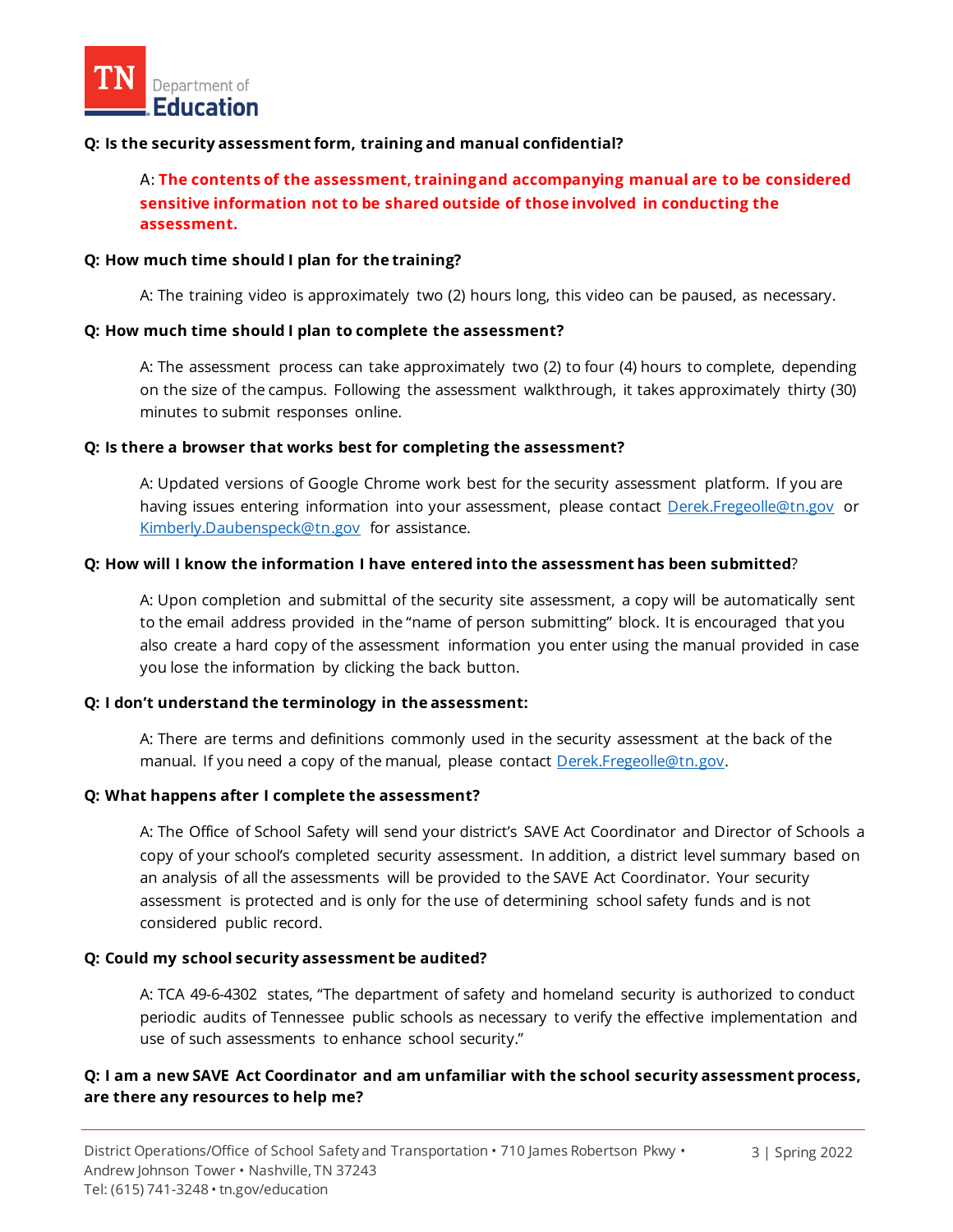#### **Q: Is the security assessment form, training and manual confidential?**

A: **The contents of the assessment, training and accompanying manual are to be considered sensitive information not to be shared outside of those involved in conducting the assessment.**

#### **Q: How much time should I plan for the training?**

A: The training video is approximately two (2) hours long, this video can be paused, as necessary.

#### **Q: How much time should I plan to complete the assessment?**

A: The assessment process can take approximately two (2) to four (4) hours to complete, depending on the size of the campus. Following the assessment walkthrough, it takes approximately thirty (30) minutes to submit responses online.

#### **Q: Is there a browser that works best for completing the assessment?**

A: Updated versions of Google Chrome work best for the security assessment platform. If you are having issues entering information into your assessment, please contact [Derek.Fregeolle@tn.gov](mailto:Derek.Fregeolle@tn.gov) or [Kimberly.Daubenspeck@tn.gov](mailto:Kimberly.Daubenspeck@tn.gov) for assistance.

# **Q: How will I know the information I have entered into the assessment has been submitted**?

A: Upon completion and submittal of the security site assessment, a copy will be automatically sent to the email address provided in the "name of person submitting" block. It is encouraged that you also create a hard copy of the assessment information you enter using the manual provided in case you lose the information by clicking the back button.

#### **Q: I don't understand the terminology in the assessment:**

A: There are terms and definitions commonly used in the security assessment at the back of the manual. If you need a copy of the manual, please contact [Derek.Fregeolle@tn.gov.](mailto:Derek.Fregeolle@tn.gov)

#### **Q: What happens after I complete the assessment?**

A: The Office of School Safety will send your district's SAVE Act Coordinator and Director of Schools a copy of your school's completed security assessment. In addition, a district level summary based on an analysis of all the assessments will be provided to the SAVE Act Coordinator. Your security assessment is protected and is only for the use of determining school safety funds and is not considered public record.

#### **Q: Could my school security assessment be audited?**

A: TCA 49-6-4302 states, "The department of safety and homeland security is authorized to conduct periodic audits of Tennessee public schools as necessary to verify the effective implementation and use of such assessments to enhance school security."

### **Q: I am a new SAVE Act Coordinator and am unfamiliar with the school security assessment process, are there any resources to help me?**